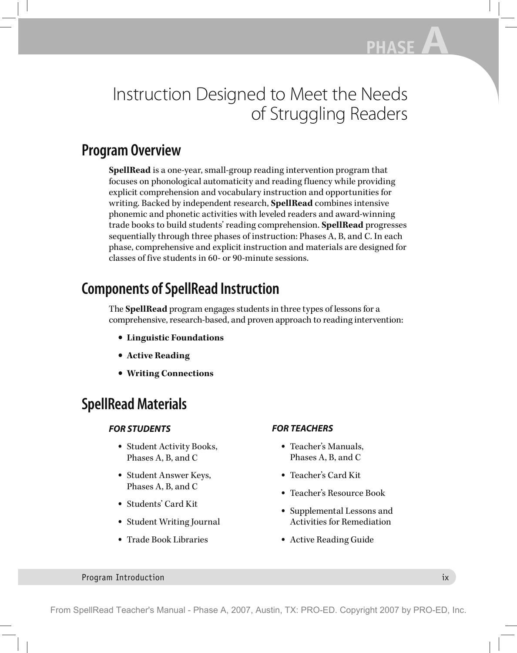# Instruction Designed to Meet the Needs of Struggling Readers

## **Program Overview**

**SpellRead** is a one-year, small-group reading intervention program that focuses on phonological automaticity and reading fluency while providing explicit comprehension and vocabulary instruction and opportunities for writing. Backed by independent research, **SpellRead** combines intensive phonemic and phonetic activities with leveled readers and award-winning trade books to build students' reading comprehension. **SpellRead** progresses sequentially through three phases of instruction: Phases A, B, and C. In each phase, comprehensive and explicit instruction and materials are designed for classes of five students in 60- or 90-minute sessions.

## **Components of SpellRead Instruction**

The **SpellRead** program engages students in three types of lessons for a comprehensive, research-based, and proven approach to reading intervention:

- **• Linguistic Foundations**
- **• Active Reading**
- **• Writing Connections**

## **SpellRead Materials**

### *FOR STUDENTS*

- Student Activity Books, Phases A, B, and C
- Student Answer Keys, Phases A, B, and C
- Students' Card Kit
- Student Writing Journal
- Trade Book Libraries

### *FOR TEACHERS*

- Teacher's Manuals, Phases A, B, and C
- Teacher's Card Kit
- Teacher's Resource Book
- Supplemental Lessons and Activities for Remediation
- Active Reading Guide

#### **Program Introduction** in the contract of the contract of the contract of the contract of the contract of the contract of the contract of the contract of the contract of the contract of the contract of the contract of the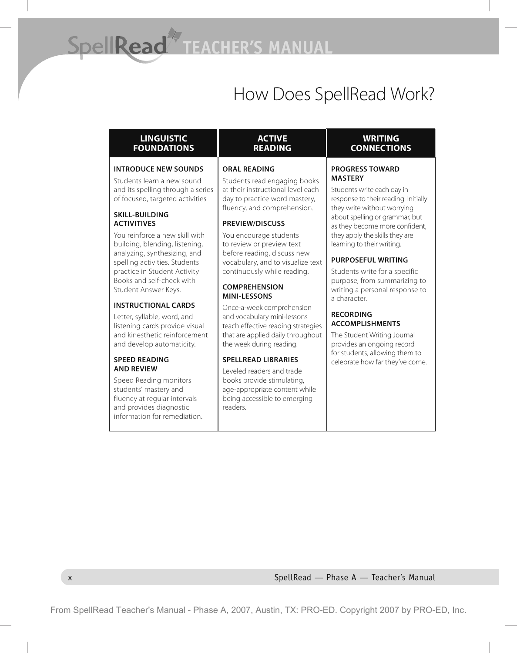# How Does SpellRead Work?

x SpellRead — Phase A — Teacher's Manual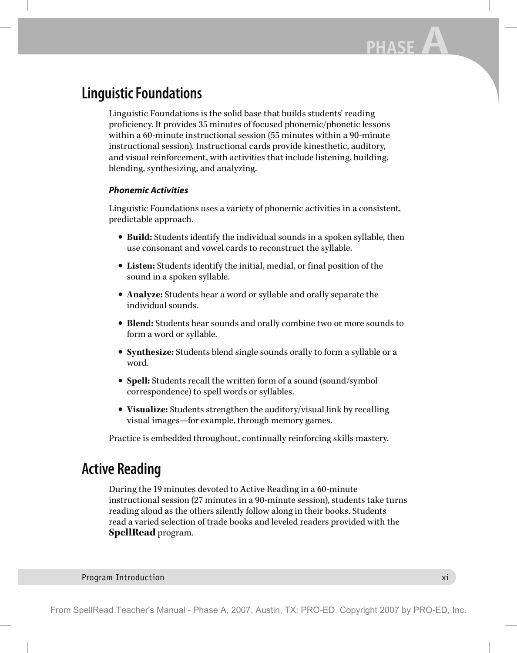## **Linguistic Foundations**

Linguistic Foundations is the solid base that builds students' reading proficiency. It provides 35 minutes of focused phonemic/phonetic lessons within a 60-minute instructional session (55 minutes within a 90-minute instructional session). Instructional cards provide kinesthetic, auditory, and visual reinforcement, with activities that include listening, building, blending, synthesizing, and analyzing.

### *Phonemic Activities*

Linguistic Foundations uses a variety of phonemic activities in a consistent, predictable approach.

- **Build:** Students identify the individual sounds in a spoken syllable, then use consonant and vowel cards to reconstruct the syllable.
- **Listen:** Students identify the initial, medial, or final position of the sound in a spoken syllable.
- **Analyze:** Students hear a word or syllable and orally separate the individual sounds.
- **Blend:** Students hear sounds and orally combine two or more sounds to form a word or syllable.
- **Synthesize:** Students blend single sounds orally to form a syllable or a word.
- **Spell:** Students recall the written form of a sound (sound/symbol correspondence) to spell words or syllables.
- **Visualize:** Students strengthen the auditory/visual link by recalling visual images—for example, through memory games.

Practice is embedded throughout, continually reinforcing skills mastery.

## **Active Reading**

During the 19 minutes devoted to Active Reading in a 60-minute instructional session (27 minutes in a 90-minute session), students take turns reading aloud as the others silently follow along in their books. Students read a varied selection of trade books and leveled readers provided with the **SpellRead** program.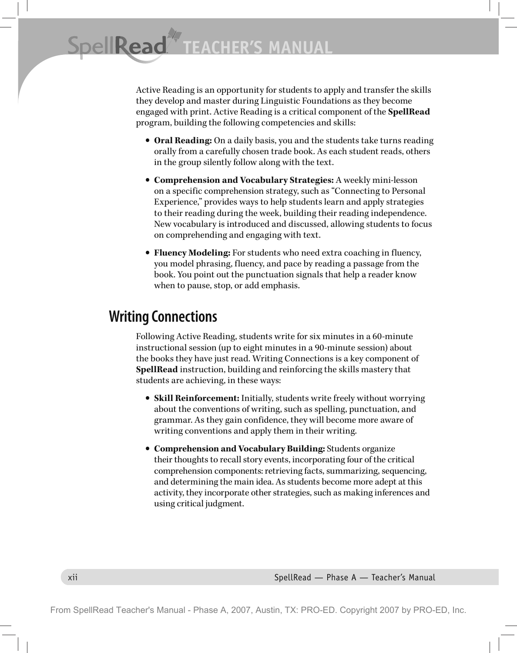Active Reading is an opportunity for students to apply and transfer the skills they develop and master during Linguistic Foundations as they become engaged with print. Active Reading is a critical component of the **SpellRead** program, building the following competencies and skills:

- **Oral Reading:** On a daily basis, you and the students take turns reading orally from a carefully chosen trade book. As each student reads, others in the group silently follow along with the text.
- **Comprehension and Vocabulary Strategies:** A weekly mini-lesson on a specific comprehension strategy, such as "Connecting to Personal Experience," provides ways to help students learn and apply strategies to their reading during the week, building their reading independence. New vocabulary is introduced and discussed, allowing students to focus on comprehending and engaging with text.
- **Fluency Modeling:** For students who need extra coaching in fluency, you model phrasing, fluency, and pace by reading a passage from the book. You point out the punctuation signals that help a reader know when to pause, stop, or add emphasis.

## **Writing Connections**

Following Active Reading, students write for six minutes in a 60-minute instructional session (up to eight minutes in a 90-minute session) about the books they have just read. Writing Connections is a key component of **SpellRead** instruction, building and reinforcing the skills mastery that students are achieving, in these ways:

- **Skill Reinforcement:** Initially, students write freely without worrying about the conventions of writing, such as spelling, punctuation, and grammar. As they gain confidence, they will become more aware of writing conventions and apply them in their writing.
- **Comprehension and Vocabulary Building:** Students organize their thoughts to recall story events, incorporating four of the critical comprehension components: retrieving facts, summarizing, sequencing, and determining the main idea. As students become more adept at this activity, they incorporate other strategies, such as making inferences and using critical judgment.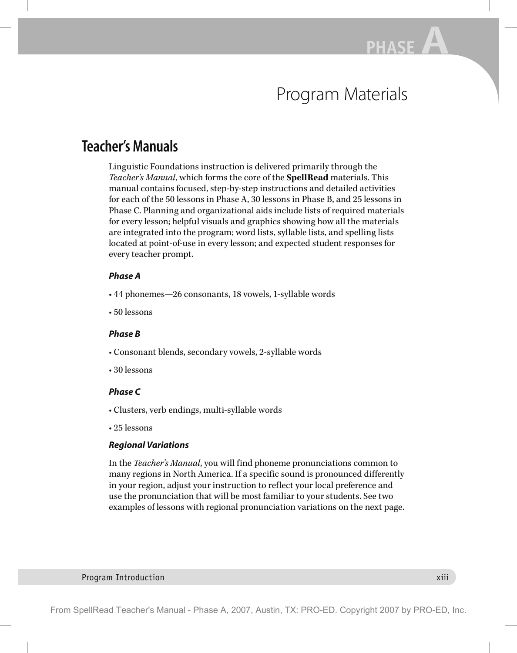# Program Materials

## **Teacher's Manuals**

Linguistic Foundations instruction is delivered primarily through the *Teacher's Manual*, which forms the core of the **SpellRead** materials. This manual contains focused, step-by-step instructions and detailed activities for each of the 50 lessons in Phase A, 30 lessons in Phase B, and 25 lessons in Phase C. Planning and organizational aids include lists of required materials for every lesson; helpful visuals and graphics showing how all the materials are integrated into the program; word lists, syllable lists, and spelling lists located at point-of-use in every lesson; and expected student responses for every teacher prompt.

### *Phase A*

- 44 phonemes—26 consonants, 18 vowels, 1-syllable words
- 50 lessons

### *Phase B*

- Consonant blends, secondary vowels, 2-syllable words
- 30 lessons

### *Phase C*

- Clusters, verb endings, multi-syllable words
- 25 lessons

### *Regional Variations*

In the *Teacher's Manual*, you will find phoneme pronunciations common to many regions in North America. If a specific sound is pronounced differently in your region, adjust your instruction to reflect your local preference and use the pronunciation that will be most familiar to your students. See two examples of lessons with regional pronunciation variations on the next page.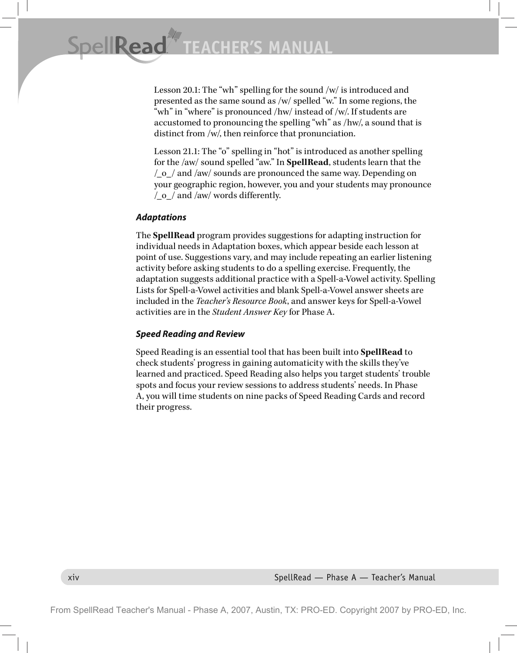Lesson 20.1: The "wh" spelling for the sound /w/ is introduced and presented as the same sound as /w/ spelled "w." In some regions, the "wh" in "where" is pronounced /hw/ instead of /w/. If students are accustomed to pronouncing the spelling "wh" as /hw/, a sound that is distinct from /w/, then reinforce that pronunciation.

Lesson 21.1: The "o" spelling in "hot" is introduced as another spelling for the /aw/ sound spelled "aw." In **SpellRead**, students learn that the /\_o\_/ and /aw/ sounds are pronounced the same way. Depending on your geographic region, however, you and your students may pronounce  $\sqrt{\frac{6}{2}}$  and /aw/ words differently.

### *Adaptations*

The **SpellRead** program provides suggestions for adapting instruction for individual needs in Adaptation boxes, which appear beside each lesson at point of use. Suggestions vary, and may include repeating an earlier listening activity before asking students to do a spelling exercise. Frequently, the adaptation suggests additional practice with a Spell-a-Vowel activity. Spelling Lists for Spell-a-Vowel activities and blank Spell-a-Vowel answer sheets are included in the *Teacher's Resource Book*, and answer keys for Spell-a-Vowel activities are in the *Student Answer Key* for Phase A.

### *Speed Reading and Review*

Speed Reading is an essential tool that has been built into **SpellRead** to check students' progress in gaining automaticity with the skills they've learned and practiced. Speed Reading also helps you target students' trouble spots and focus your review sessions to address students' needs. In Phase A, you will time students on nine packs of Speed Reading Cards and record their progress.

xiv SpellRead — Phase A — Teacher's Manual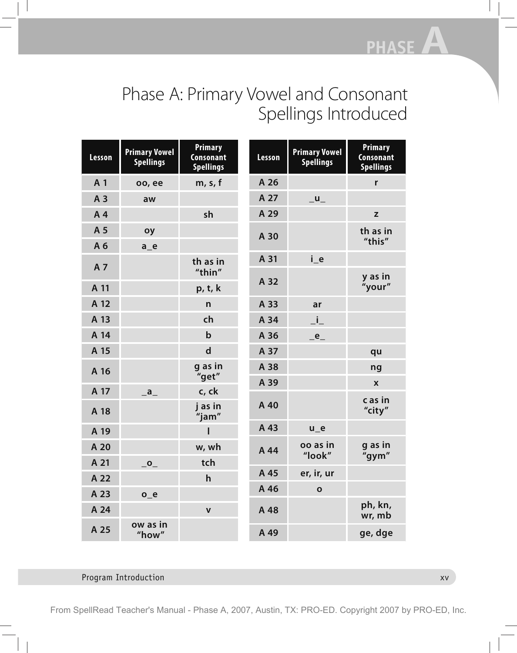# Phase A: Primary Vowel and Consonant Spellings Introduced

| <b>Lesson</b> | <b>Primary Vowel</b><br><b>Spellings</b> | <b>Primary</b><br><b>Consonant</b><br><b>Spellings</b> | <b>Lesson</b> | <b>Primary Vowel</b><br><b>Spellings</b> | <b>Primary</b><br><b>Consonant</b><br><b>Spellings</b> |
|---------------|------------------------------------------|--------------------------------------------------------|---------------|------------------------------------------|--------------------------------------------------------|
| A 1           | oo, ee                                   | m, s, f                                                | A 26          |                                          | r                                                      |
| A 3           | aw                                       |                                                        | A 27          | $-$                                      |                                                        |
| A4            |                                          | sh                                                     | A 29          |                                          | $\mathbb Z$                                            |
| A 5           | oy                                       |                                                        | A 30          |                                          | th as in                                               |
| A 6           | $a_e$                                    |                                                        |               |                                          | "this"                                                 |
| A 7           |                                          | th as in                                               | A 31          | $i_e$                                    |                                                        |
| A 11          |                                          | "thin"<br>p, t, k                                      | A 32          |                                          | y as in<br>"your"                                      |
| A 12          |                                          | $\mathsf{n}$                                           | A 33          | ar                                       |                                                        |
| A 13          |                                          | ch                                                     | A 34          | $\_i\_$                                  |                                                        |
| A 14          |                                          | $\mathbf b$                                            | A 36          | $_e$ <sup><math>_e</math></sup>          |                                                        |
| A 15          |                                          | $\mathsf{d}$                                           | A 37          |                                          | qu                                                     |
| A 16          |                                          | g as in<br>"get"                                       | A 38          |                                          | ng                                                     |
| A 17          | $\overline{a}$                           | c, ck                                                  | A 39          |                                          | $\boldsymbol{\mathsf{X}}$                              |
| A 18          |                                          | j as in<br>"jam"                                       | A 40          |                                          | c as in<br>"city"                                      |
| A 19          |                                          |                                                        | A 43          | $u_e$                                    |                                                        |
| A 20          |                                          | w, wh                                                  | A 44          | oo as in<br>"look"                       | g as in<br>"gym"                                       |
| A 21          | $\overline{\phantom{a}}^{\,\mathsf{o}}$  | tch                                                    |               |                                          |                                                        |
| A 22          |                                          | $\mathsf{h}$                                           | A 45          | er, ir, ur                               |                                                        |
| A 23          | $o_e$                                    |                                                        | A 46          | $\mathbf{o}$                             |                                                        |
| A 24          |                                          | $\mathbf v$                                            | A 48          |                                          | ph, kn,<br>wr, mb                                      |
| A 25          | ow as in<br>"how"                        |                                                        | A 49          |                                          | ge, dge                                                |

### Program Introduction **xv** xv

From SpellRead Teacher's Manual - Phase A, 2007, Austin, TX: PRO-ED. Copyright 2007 by PRO-ED, Inc.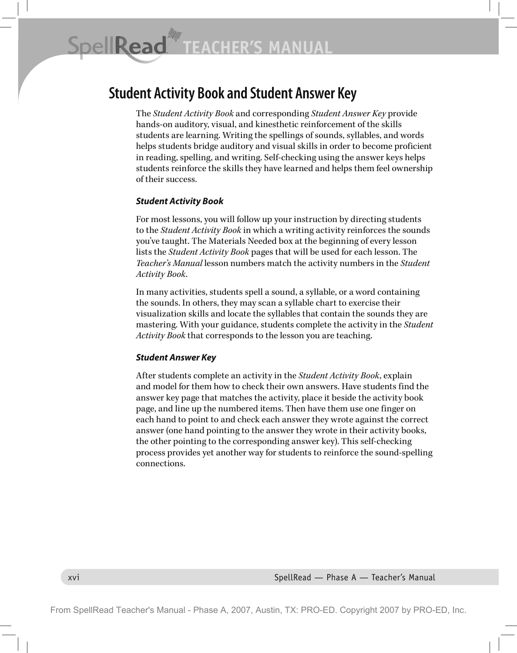## **Student Activity Book and Student Answer Key**

The *Student Activity Book* and corresponding *Student Answer Key* provide hands-on auditory, visual, and kinesthetic reinforcement of the skills students are learning. Writing the spellings of sounds, syllables, and words helps students bridge auditory and visual skills in order to become proficient in reading, spelling, and writing. Self-checking using the answer keys helps students reinforce the skills they have learned and helps them feel ownership of their success.

### *Student Activity Book*

For most lessons, you will follow up your instruction by directing students to the *Student Activity Book* in which a writing activity reinforces the sounds you've taught. The Materials Needed box at the beginning of every lesson lists the *Student Activity Book* pages that will be used for each lesson. The *Teacher's Manual* lesson numbers match the activity numbers in the *Student Activity Book*.

In many activities, students spell a sound, a syllable, or a word containing the sounds. In others, they may scan a syllable chart to exercise their visualization skills and locate the syllables that contain the sounds they are mastering. With your guidance, students complete the activity in the *Student Activity Book* that corresponds to the lesson you are teaching.

#### *Student Answer Key*

After students complete an activity in the *Student Activity Book*, explain and model for them how to check their own answers. Have students find the answer key page that matches the activity, place it beside the activity book page, and line up the numbered items. Then have them use one finger on each hand to point to and check each answer they wrote against the correct answer (one hand pointing to the answer they wrote in their activity books, the other pointing to the corresponding answer key). This self-checking process provides yet another way for students to reinforce the sound-spelling connections.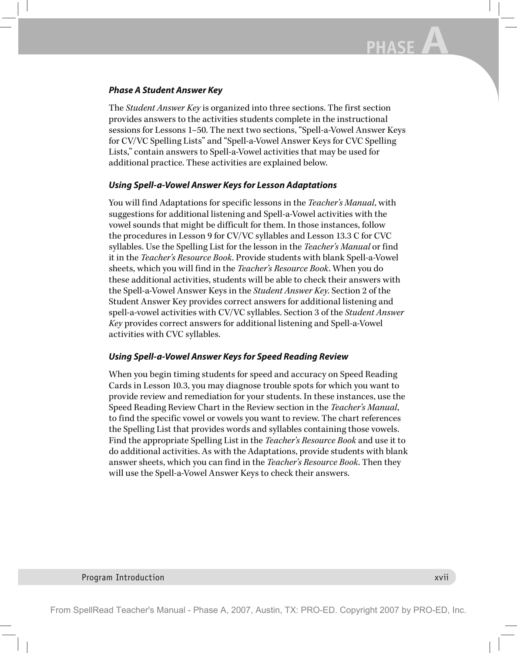### *Phase A Student Answer Key*

The *Student Answer Key* is organized into three sections. The first section provides answers to the activities students complete in the instructional sessions for Lessons 1–50. The next two sections, "Spell-a-Vowel Answer Keys for CV/VC Spelling Lists" and "Spell-a-Vowel Answer Keys for CVC Spelling Lists," contain answers to Spell-a-Vowel activities that may be used for additional practice. These activities are explained below.

### *Using Spell-a-Vowel Answer Keys for Lesson Adaptations*

You will find Adaptations for specific lessons in the *Teacher's Manual*, with suggestions for additional listening and Spell-a-Vowel activities with the vowel sounds that might be difficult for them. In those instances, follow the procedures in Lesson 9 for CV/VC syllables and Lesson 13.3 C for CVC syllables. Use the Spelling List for the lesson in the *Teacher's Manual* or find it in the *Teacher's Resource Book*. Provide students with blank Spell-a-Vowel sheets, which you will find in the *Teacher's Resource Book*. When you do these additional activities, students will be able to check their answers with the Spell-a-Vowel Answer Keys in the *Student Answer Key*. Section 2 of the Student Answer Key provides correct answers for additional listening and spell-a-vowel activities with CV/VC syllables. Section 3 of the *Student Answer Key* provides correct answers for additional listening and Spell-a-Vowel activities with CVC syllables.

### *Using Spell-a-Vowel Answer Keys for Speed Reading Review*

When you begin timing students for speed and accuracy on Speed Reading Cards in Lesson 10.3, you may diagnose trouble spots for which you want to provide review and remediation for your students. In these instances, use the Speed Reading Review Chart in the Review section in the *Teacher's Manual*, to find the specific vowel or vowels you want to review. The chart references the Spelling List that provides words and syllables containing those vowels. Find the appropriate Spelling List in the *Teacher's Resource Book* and use it to do additional activities. As with the Adaptations, provide students with blank answer sheets, which you can find in the *Teacher's Resource Book*. Then they will use the Spell-a-Vowel Answer Keys to check their answers.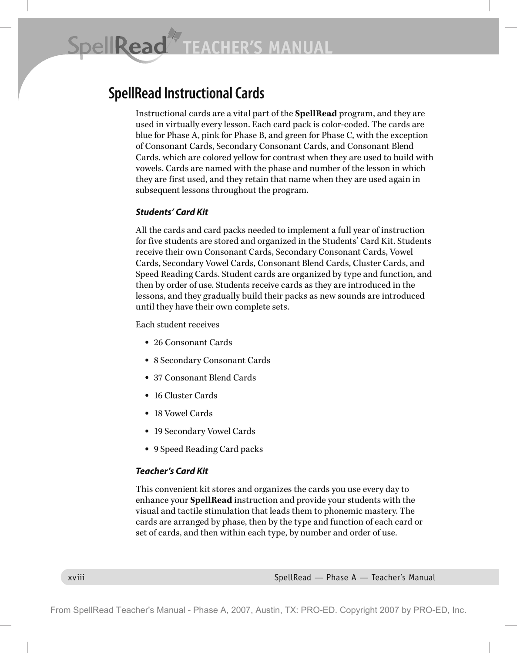SpellRead **CHER'S MANUAL** 

## **SpellRead Instructional Cards**

Instructional cards are a vital part of the **SpellRead** program, and they are used in virtually every lesson. Each card pack is color-coded. The cards are blue for Phase A, pink for Phase B, and green for Phase C, with the exception of Consonant Cards, Secondary Consonant Cards, and Consonant Blend Cards, which are colored yellow for contrast when they are used to build with vowels. Cards are named with the phase and number of the lesson in which they are first used, and they retain that name when they are used again in subsequent lessons throughout the program.

### *Students' Card Kit*

All the cards and card packs needed to implement a full year of instruction for five students are stored and organized in the Students' Card Kit. Students receive their own Consonant Cards, Secondary Consonant Cards, Vowel Cards, Secondary Vowel Cards, Consonant Blend Cards, Cluster Cards, and Speed Reading Cards. Student cards are organized by type and function, and then by order of use. Students receive cards as they are introduced in the lessons, and they gradually build their packs as new sounds are introduced until they have their own complete sets.

Each student receives

- 26 Consonant Cards
- 8 Secondary Consonant Cards
- 37 Consonant Blend Cards
- 16 Cluster Cards
- 18 Vowel Cards
- 19 Secondary Vowel Cards
- 9 Speed Reading Card packs

#### *Teacher's Card Kit*

This convenient kit stores and organizes the cards you use every day to enhance your **SpellRead** instruction and provide your students with the visual and tactile stimulation that leads them to phonemic mastery. The cards are arranged by phase, then by the type and function of each card or set of cards, and then within each type, by number and order of use.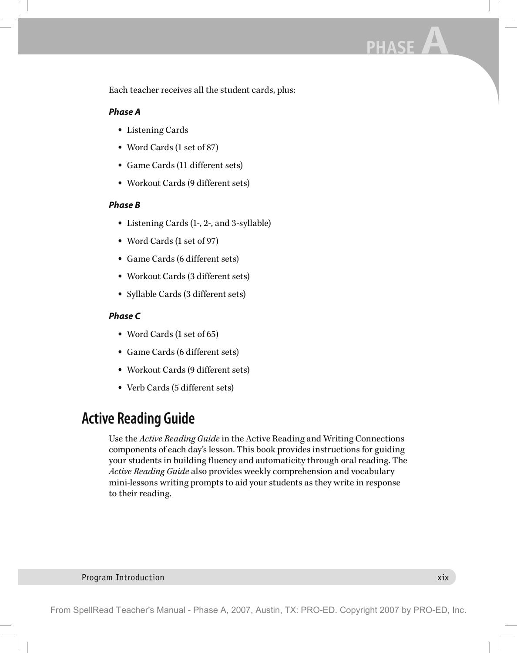Each teacher receives all the student cards, plus:

### *Phase A*

- Listening Cards
- Word Cards (1 set of 87)
- Game Cards (11 different sets)
- Workout Cards (9 different sets)

### *Phase B*

- Listening Cards (1-, 2-, and 3-syllable)
- Word Cards (1 set of 97)
- Game Cards (6 different sets)
- Workout Cards (3 different sets)
- Syllable Cards (3 different sets)

### *Phase C*

- Word Cards (1 set of 65)
- Game Cards (6 different sets)
- Workout Cards (9 different sets)
- Verb Cards (5 different sets)

## **Active Reading Guide**

Use the *Active Reading Guide* in the Active Reading and Writing Connections components of each day's lesson. This book provides instructions for guiding your students in building fluency and automaticity through oral reading. The *Active Reading Guide* also provides weekly comprehension and vocabulary mini-lessons writing prompts to aid your students as they write in response to their reading.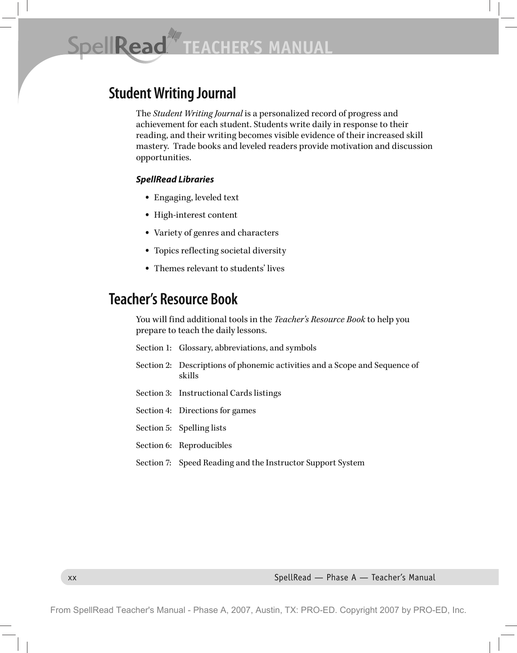SpellRead\* **CHER'S MANUAL** 

## **Student Writing Journal**

The *Student Writing Journal* is a personalized record of progress and achievement for each student. Students write daily in response to their reading, and their writing becomes visible evidence of their increased skill mastery. Trade books and leveled readers provide motivation and discussion opportunities.

#### *SpellRead Libraries*

- Engaging, leveled text
- High-interest content
- Variety of genres and characters
- Topics reflecting societal diversity
- Themes relevant to students' lives

## **Teacher's Resource Book**

You will find additional tools in the *Teacher's Resource Book* to help you prepare to teach the daily lessons.

- Section 1: Glossary, abbreviations, and symbols
- Section 2: Descriptions of phonemic activities and a Scope and Sequence of skills
- Section 3: Instructional Cards listings
- Section 4: Directions for games
- Section 5: Spelling lists
- Section 6: Reproducibles
- Section 7: Speed Reading and the Instructor Support System

xx SpellRead — Phase A — Teacher's Manual